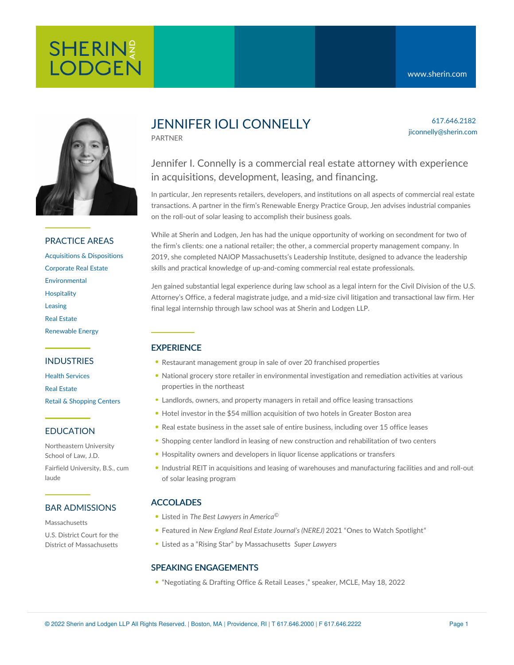617.646.2182 jiconnelly@sherin.com



#### PRACTICE AREAS

[Acquisitions](https://www.sherin.com/practice-areas/real-estate/acquisitions-and-dispositions/) & Dispositions [Corporate](https://www.sherin.com/practice-areas/real-estate/corporate-real-estate/) Real Estate [Environmental](https://www.sherin.com/practice-areas/environmental/) **[Hospitality](https://www.sherin.com/practice-areas/hospitality/)** [Leasing](https://www.sherin.com/practice-areas/real-estate/leasing/) Real [Estate](https://www.sherin.com/practice-areas/real-estate/) [Renewable](https://www.sherin.com/practice-areas/renewable-energy/) Energy

#### INDUSTRIES

Health [Services](https://www.sherin.com/industries/health-services/) Real [Estate](https://www.sherin.com/industries/real-estate/) Retail & [Shopping](https://www.sherin.com/industries/retail-shopping-centers/) Centers

#### EDUCATION

Northeastern University School of Law, J.D. Fairfield University, B.S., cum laude

#### BAR ADMISSIONS

**Massachusetts** U.S. District Court for the District of Massachusetts

## JENNIFER IOLI CONNELLY

PARTNER

### Jennifer I. Connelly is a commercial real estate attorney with experience in acquisitions, development, leasing, and financing.

In particular, Jen represents retailers, developers, and institutions on all aspects of commercial real estate transactions. A partner in the firm's Renewable Energy Practice Group, Jen advises industrial companies on the roll-out of solar leasing to accomplish their business goals.

While at Sherin and Lodgen, Jen has had the unique opportunity of working on secondment for two of the firm's clients: one a national retailer; the other, a commercial property management company. In 2019, she completed NAIOP Massachusetts's Leadership Institute, designed to advance the leadership skills and practical knowledge of up-and-coming commercial real estate professionals.

Jen gained substantial legal experience during law school as a legal intern for the Civil Division of the U.S. Attorney's Office, a federal magistrate judge, and a mid-size civil litigation and transactional law firm. Her final legal internship through law school was at Sherin and Lodgen LLP.

#### **EXPERIENCE**

- Restaurant management group in sale of over 20 franchised properties
- National grocery store retailer in environmental investigation and remediation activities at various properties in the northeast
- Landlords, owners, and property managers in retail and office leasing transactions
- Hotel investor in the \$54 million acquisition of two hotels in Greater Boston area
- Real estate business in the asset sale of entire business, including over 15 office leases
- Shopping center landlord in leasing of new construction and rehabilitation of two centers
- Hospitality owners and developers in liquor license applications or transfers
- Industrial REIT in acquisitions and leasing of warehouses and manufacturing facilities and and roll-out of solar leasing program

#### ACCOLADES

- Listed in *The Best Lawyers in America* ©
- Featured in *New England Real Estate Journal's (NEREJ)* 2021 "Ones to Watch [Spotlight](https://nerej.com/2021-otw-jennifer-ioli-sherin-and-lodgen)"
- Listed as a "Rising Star" by Massachusetts *Super Lawyers*

#### SPEAKING ENGAGEMENTS

"[Negotiating](https://www.mcle.org/product/catalog/code/2220205P01) & Drafting Office & Retail Leases ," speaker, MCLE, May 18, 2022